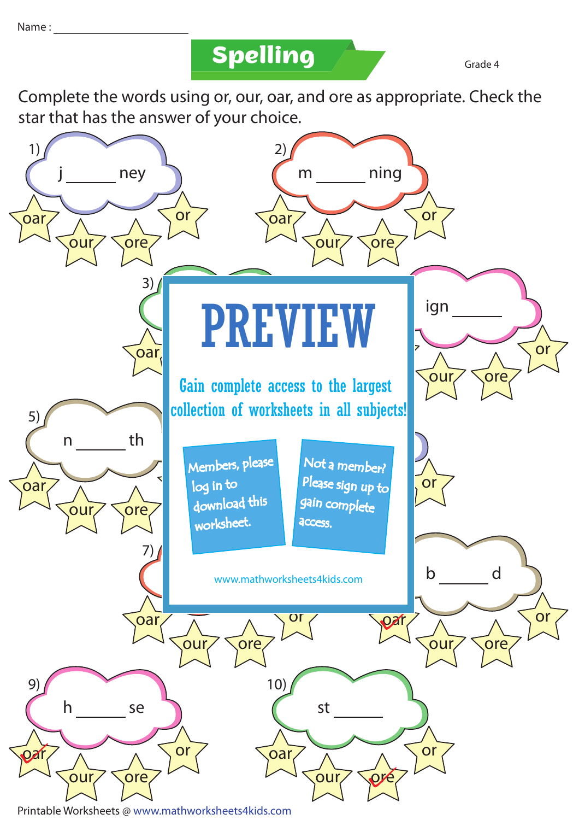**Spelling Grade 4** 

Complete the words using or, our, oar, and ore as appropriate. Check the star that has the answer of your choice.

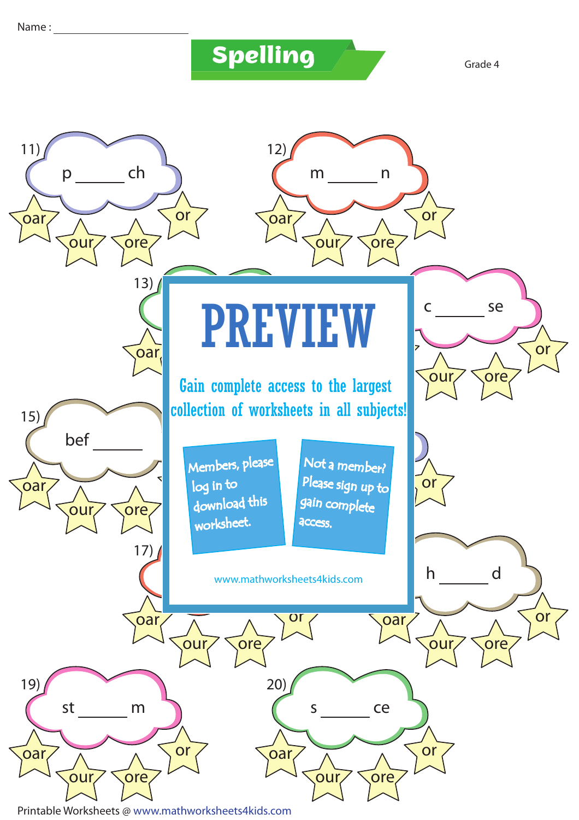## **Spelling Grade 4**



Printable Worksheets @ www.mathworksheets4kids.com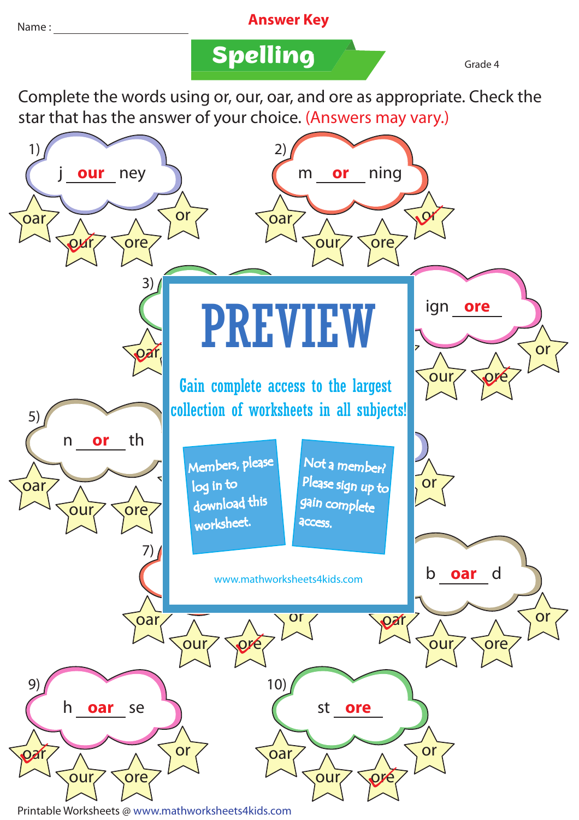## Name : **Answer Key**

**Spelling Grade 4** 

Complete the words using or, our, oar, and ore as appropriate. Check the star that has the answer of your choice. (Answers may vary.)